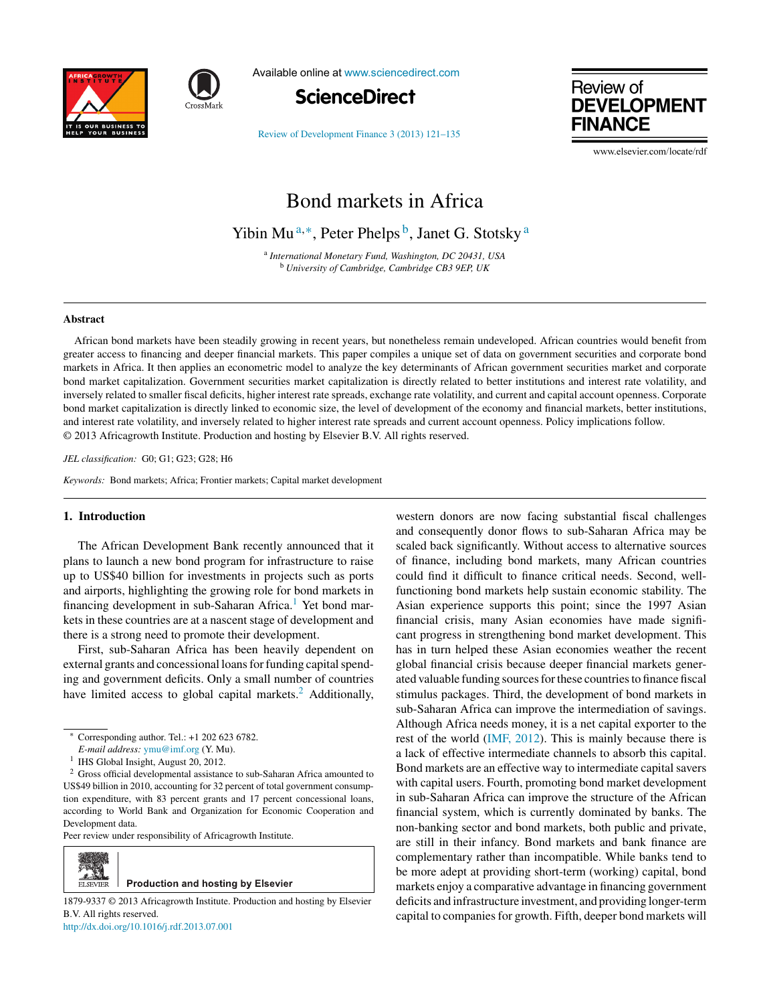



Available online at [www.sciencedirect.com](http://www.sciencedirect.com/science/journal/18799337)



Review of [Development](dx.doi.org/10.1016/j.rdf.2013.07.001) Finance 3 (2013) 121–135



www.elsevier.com/locate/rdf

## Bond markets in Africa

Yibin Mu<sup>a,∗</sup>, Peter Phelps<sup>b</sup>, Janet G. Stotsky<sup>a</sup>

<sup>a</sup> *International Monetary Fund, Washington, DC 20431, USA* <sup>b</sup> *University of Cambridge, Cambridge CB3 9EP, UK*

#### **Abstract**

African bond markets have been steadily growing in recent years, but nonetheless remain undeveloped. African countries would benefit from greater access to financing and deeper financial markets. This paper compiles a unique set of data on government securities and corporate bond markets in Africa. It then applies an econometric model to analyze the key determinants of African government securities market and corporate bond market capitalization. Government securities market capitalization is directly related to better institutions and interest rate volatility, and inversely related to smaller fiscal deficits, higher interest rate spreads, exchange rate volatility, and current and capital account openness. Corporate bond market capitalization is directly linked to economic size, the level of development of the economy and financial markets, better institutions, and interest rate volatility, and inversely related to higher interest rate spreads and current account openness. Policy implications follow. © 2013 Africagrowth Institute. Production and hosting by Elsevier B.V. All rights reserved.

#### *JEL classification:* G0; G1; G23; G28; H6

*Keywords:* Bond markets; Africa; Frontier markets; Capital market development

### **1. Introduction**

The African Development Bank recently announced that it plans to launch a new bond program for infrastructure to raise up to US\$40 billion for investments in projects such as ports and airports, highlighting the growing role for bond markets in financing development in sub-Saharan Africa.<sup>1</sup> Yet bond markets in these countries are at a nascent stage of development and there is a strong need to promote their development.

First, sub-Saharan Africa has been heavily dependent on external grants and concessional loans for funding capital spending and government deficits. Only a small number of countries have limited access to global capital markets. $<sup>2</sup>$  Additionally,</sup>

<sup>2</sup> Gross official developmental assistance to sub-Saharan Africa amounted to US\$49 billion in 2010, accounting for 32 percent of total government consumption expenditure, with 83 percent grants and 17 percent concessional loans, according to World Bank and Organization for Economic Cooperation and Development data.

Peer review under responsibility of Africagrowth Institute.



1879-9337 © 2013 Africagrowth Institute. Production and hosting by Elsevier B.V. All rights reserved.

[http://dx.doi.org/10.1016/j.rdf.2013.07.001](dx.doi.org/10.1016/j.rdf.2013.07.001)

western donors are now facing substantial fiscal challenges and consequently donor flows to sub-Saharan Africa may be scaled back significantly. Without access to alternative sources of finance, including bond markets, many African countries could find it difficult to finance critical needs. Second, wellfunctioning bond markets help sustain economic stability. The Asian experience supports this point; since the 1997 Asian financial crisis, many Asian economies have made significant progress in strengthening bond market development. This has in turn helped these Asian economies weather the recent global financial crisis because deeper financial markets generated valuable funding sources for these countries to finance fiscal stimulus packages. Third, the development of bond markets in sub-Saharan Africa can improve the intermediation of savings. Although Africa needs money, it is a net capital exporter to the rest of the world [\(IMF,](#page--1-0) [2012\).](#page--1-0) This is mainly because there is a lack of effective intermediate channels to absorb this capital. Bond markets are an effective way to intermediate capital savers with capital users. Fourth, promoting bond market development in sub-Saharan Africa can improve the structure of the African financial system, which is currently dominated by banks. The non-banking sector and bond markets, both public and private, are still in their infancy. Bond markets and bank finance are complementary rather than incompatible. While banks tend to be more adept at providing short-term (working) capital, bond markets enjoy a comparative advantage in financing government deficits and infrastructure investment, and providing longer-term capital to companies for growth. Fifth, deeper bond markets will

<sup>∗</sup> Corresponding author. Tel.: +1 202 623 6782.

*E-mail address:* [ymu@imf.org](mailto:ymu@imf.org) (Y. Mu).

<sup>&</sup>lt;sup>1</sup> IHS Global Insight, August 20, 2012.<br><sup>2</sup> Gross official developmental assistance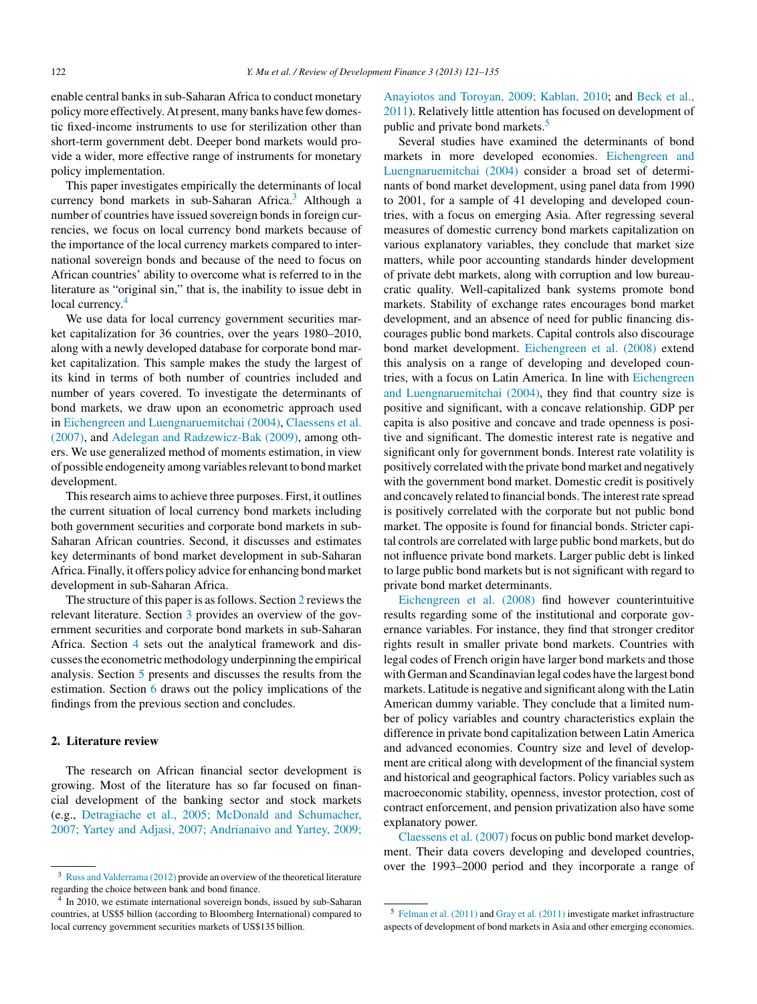enable central banks in sub-Saharan Africa to conduct monetary policy more effectively. At present, many banks have few domestic fixed-income instruments to use for sterilization other than short-term government debt. Deeper bond markets would provide a wider, more effective range of instruments for monetary policy implementation.

This paper investigates empirically the determinants of local currency bond markets in sub-Saharan Africa. $3$  Although a number of countries have issued sovereign bonds in foreign currencies, we focus on local currency bond markets because of the importance of the local currency markets compared to international sovereign bonds and because of the need to focus on African countries' ability to overcome what is referred to in the literature as "original sin," that is, the inability to issue debt in local currency.<sup>4</sup>

We use data for local currency government securities market capitalization for 36 countries, over the years 1980–2010, along with a newly developed database for corporate bond market capitalization. This sample makes the study the largest of its kind in terms of both number of countries included and number of years covered. To investigate the determinants of bond markets, we draw upon an econometric approach used in [Eichengreen](#page--1-0) [and](#page--1-0) [Luengnaruemitchai](#page--1-0) [\(2004\),](#page--1-0) [Claessens](#page--1-0) et [al.](#page--1-0) [\(2007\),](#page--1-0) and [Adelegan](#page--1-0) [and](#page--1-0) [Radzewicz-Bak](#page--1-0) [\(2009\),](#page--1-0) among others. We use generalized method of moments estimation, in view of possible endogeneity among variablesrelevant to bondmarket development.

This research aims to achieve three purposes. First, it outlines the current situation of local currency bond markets including both government securities and corporate bond markets in sub-Saharan African countries. Second, it discusses and estimates key determinants of bond market development in sub-Saharan Africa. Finally, it offers policy advice for enhancing bond market development in sub-Saharan Africa.

The structure of this paper is as follows. Section 2 reviews the relevant literature. Section [3](#page--1-0) provides an overview of the government securities and corporate bond markets in sub-Saharan Africa. Section [4](#page--1-0) sets out the analytical framework and discusses the econometric methodology underpinning the empirical analysis. Section [5](#page--1-0) presents and discusses the results from the estimation. Section [6](#page--1-0) draws out the policy implications of the findings from the previous section and concludes.

### **2. Literature review**

The research on African financial sector development is growing. Most of the literature has so far focused on financial development of the banking sector and stock markets (e.g., [Detragiache](#page--1-0) et [al.,](#page--1-0) [2005;](#page--1-0) [McDonald](#page--1-0) [and](#page--1-0) [Schumacher,](#page--1-0) [2007;](#page--1-0) [Yartey](#page--1-0) [and](#page--1-0) [Adjasi,](#page--1-0) [2007;](#page--1-0) [Andrianaivo](#page--1-0) [and](#page--1-0) [Yartey,](#page--1-0) [2009;](#page--1-0) [Anayiotos](#page--1-0) [and](#page--1-0) [Toroyan,](#page--1-0) [2009;](#page--1-0) [Kablan,](#page--1-0) [2010;](#page--1-0) and [Beck](#page--1-0) et [al.,](#page--1-0) [2011\).](#page--1-0) Relatively little attention has focused on development of public and private bond markets.<sup>5</sup>

Several studies have examined the determinants of bond markets in more developed economies. [Eichengreen](#page--1-0) [and](#page--1-0) [Luengnaruemitchai](#page--1-0) [\(2004\)](#page--1-0) consider a broad set of determinants of bond market development, using panel data from 1990 to 2001, for a sample of 41 developing and developed countries, with a focus on emerging Asia. After regressing several measures of domestic currency bond markets capitalization on various explanatory variables, they conclude that market size matters, while poor accounting standards hinder development of private debt markets, along with corruption and low bureaucratic quality. Well-capitalized bank systems promote bond markets. Stability of exchange rates encourages bond market development, and an absence of need for public financing discourages public bond markets. Capital controls also discourage bond market development. [Eichengreen](#page--1-0) et [al.](#page--1-0) [\(2008\)](#page--1-0) extend this analysis on a range of developing and developed countries, with a focus on Latin America. In line with [Eichengreen](#page--1-0) [and](#page--1-0) [Luengnaruemitchai](#page--1-0) [\(2004\),](#page--1-0) they find that country size is positive and significant, with a concave relationship. GDP per capita is also positive and concave and trade openness is positive and significant. The domestic interest rate is negative and significant only for government bonds. Interest rate volatility is positively correlated with the private bond market and negatively with the government bond market. Domestic credit is positively and concavely related to financial bonds. The interest rate spread is positively correlated with the corporate but not public bond market. The opposite is found for financial bonds. Stricter capital controls are correlated with large public bond markets, but do not influence private bond markets. Larger public debt is linked to large public bond markets but is not significant with regard to private bond market determinants.

[Eichengreen](#page--1-0) et [al.](#page--1-0) [\(2008\)](#page--1-0) find however counterintuitive results regarding some of the institutional and corporate governance variables. For instance, they find that stronger creditor rights result in smaller private bond markets. Countries with legal codes of French origin have larger bond markets and those with German and Scandinavian legal codes have the largest bond markets. Latitude is negative and significant along with the Latin American dummy variable. They conclude that a limited number of policy variables and country characteristics explain the difference in private bond capitalization between Latin America and advanced economies. Country size and level of development are critical along with development of the financial system and historical and geographical factors. Policy variables such as macroeconomic stability, openness, investor protection, cost of contract enforcement, and pension privatization also have some explanatory power.

[Claessens](#page--1-0) et [al.](#page--1-0) [\(2007\)](#page--1-0) focus on public bond market development. Their data covers developing and developed countries, over the 1993–2000 period and they incorporate a range of

<sup>3</sup> [Russ](#page--1-0) [and](#page--1-0) [Valderrama](#page--1-0) [\(2012\)](#page--1-0) provide an overview of the theoretical literature regarding the choice between bank and bond finance.

<sup>&</sup>lt;sup>4</sup> In 2010, we estimate international sovereign bonds, issued by sub-Saharan countries, at US\$5 billion (according to Bloomberg International) compared to local currency government securities markets of US\$135 billion.

<sup>5</sup> [Felman](#page--1-0) et [al.](#page--1-0) [\(2011\)](#page--1-0) and [Gray](#page--1-0) et [al.](#page--1-0) [\(2011\)](#page--1-0) investigate market infrastructure aspects of development of bond markets in Asia and other emerging economies.